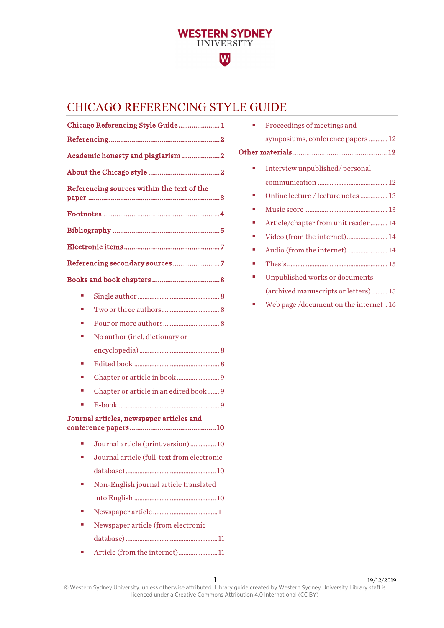# **WESTERN SYDNEY**<br>UNIVERSITY W

# <span id="page-0-0"></span>CHICAGO REFERENCING STYLE GUIDE

|                                          | Chicago Referencing Style Guide 1          |  |  |
|------------------------------------------|--------------------------------------------|--|--|
|                                          |                                            |  |  |
|                                          | Academic honesty and plagiarism 2          |  |  |
|                                          |                                            |  |  |
|                                          | Referencing sources within the text of the |  |  |
|                                          |                                            |  |  |
|                                          |                                            |  |  |
|                                          |                                            |  |  |
|                                          |                                            |  |  |
|                                          |                                            |  |  |
|                                          |                                            |  |  |
|                                          |                                            |  |  |
|                                          |                                            |  |  |
|                                          | No author (incl. dictionary or             |  |  |
|                                          |                                            |  |  |
| п                                        |                                            |  |  |
| п                                        |                                            |  |  |
|                                          | Chapter or article in an edited book 9     |  |  |
| п                                        |                                            |  |  |
| Journal articles, newspaper articles and |                                            |  |  |
|                                          | Journal article (print version)  10        |  |  |
|                                          | Journal article (full-text from electronic |  |  |
|                                          |                                            |  |  |
|                                          | Non-English journal article translated     |  |  |
|                                          |                                            |  |  |
|                                          |                                            |  |  |
|                                          | Newspaper article (from electronic         |  |  |
|                                          |                                            |  |  |

[Article \(from the internet\).......................](#page-10-2) 11

|    | Proceedings of meetings and            |
|----|----------------------------------------|
|    | symposiums, conference papers  12      |
|    |                                        |
|    | Interview unpublished/personal         |
|    |                                        |
|    | Online lecture / lecture notes  13     |
| п  |                                        |
| ×. | Article/chapter from unit reader14     |
| m. | Video (from the internet) 14           |
| ×. | Audio (from the internet)  14          |
|    |                                        |
|    | Unpublished works or documents         |
|    | (archived manuscripts or letters)  15  |
|    | Web page /document on the internet  16 |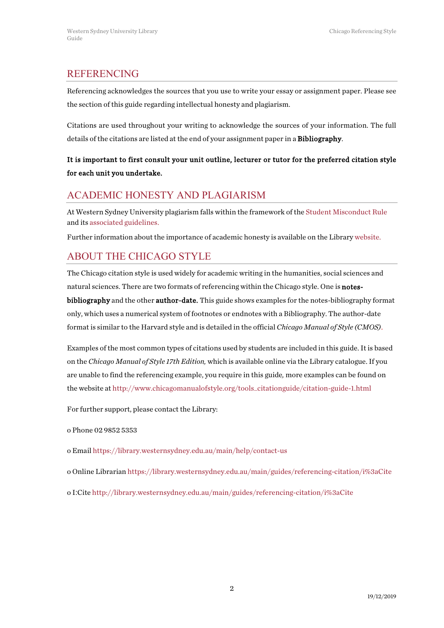# <span id="page-1-0"></span>REFERENCING

Referencing acknowledges the sources that you use to write your essay or assignment paper. Please see the section of this guide regarding intellectual honesty and plagiarism.

Citations are used throughout your writing to acknowledge the sources of your information. The full details of the citations are listed at the end of your assignment paper in a Bibliography.

# It is important to first consult your unit outline, lecturer or tutor for the preferred citation style for each unit you undertake.

# <span id="page-1-1"></span>ACADEMIC HONESTY AND PLAGIARISM

At Western Sydney University plagiarism falls within the framework of the Student [Misconduct Rule](https://policies.westernsydney.edu.au/document/view.current.php?id=304) and it[s associated guidelines.](https://policies.westernsydney.edu.au/document/associated-information.php?id=304)

Further information about the importance of academic honesty is available on the Librar[y website.](http://library.westernsydney.edu.au/main/guides/turnitin/academic-honesty)

# <span id="page-1-2"></span>ABOUT THE CHICAGO STYLE

The Chicago citation style is used widely for academic writing in the humanities, social sciences and natural sciences. There are two formats of referencing within the Chicago style. One is notesbibliography and the other author-date. This guide shows examples for the notes-bibliography format only, which uses a numerical system of footnotes or endnotes with a Bibliography. The author-date format is similar to the Harvard style and is detailed in the official *Chicago Manual of Style (CMOS)*.

Examples of the most common types of citations used by students are included in this guide. It is based on the *Chicago Manual of Style 17th Edition,* which is available online via the Library catalogue. If you are unable to find the referencing example, you require in this guide*,* more examples can be found on the website at [http://www.chicagomanualofstyle.org/tools\\_citationguide/citation-guide-1.html](http://www.chicagomanualofstyle.org/tools_citationguide/citation-guide-1.html)

For further support, please contact the Library:

o Phone 02 9852 5353

o Email <https://library.westernsydney.edu.au/main/help/contact-us>

o Online Librarian <https://library.westernsydney.edu.au/main/guides/referencing-citation/i%3aCite>

o I:Cite <http://library.westernsydney.edu.au/main/guides/referencing-citation/i%3aCite>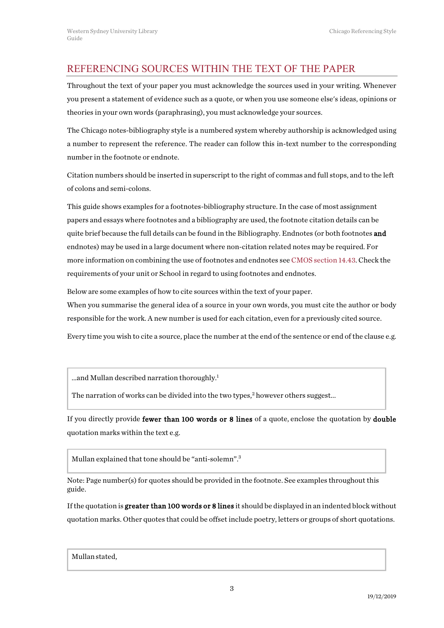# <span id="page-2-0"></span>REFERENCING SOURCES WITHIN THE TEXT OF THE PAPER

Throughout the text of your paper you must acknowledge the sources used in your writing. Whenever you present a statement of evidence such as a quote, or when you use someone else's ideas, opinions or theories in your own words (paraphrasing), you must acknowledge your sources.

The Chicago notes-bibliography style is a numbered system whereby authorship is acknowledged using a number to represent the reference. The reader can follow this in-text number to the corresponding number in the footnote or endnote.

Citation numbers should be inserted in superscript to the right of commas and full stops, and to the left of colons and semi-colons.

This guide shows examples for a footnotes-bibliography structure. In the case of most assignment papers and essays where footnotes and a bibliography are used, the footnote citation details can be quite brief because the full details can be found in the Bibliography. Endnotes (or both footnotes **and** endnotes) may be used in a large document where non-citation related notes may be required. For more information on combining the use of footnotes and endnotes see CMOS [section 14.43.](https://west-sydney-primo.hosted.exlibrisgroup.com/permalink/f/7rt3vo/UWS-ALMA21221239780001571) Check the requirements of your unit or School in regard to using footnotes and endnotes.

Below are some examples of how to cite sources within the text of your paper. When you summarise the general idea of a source in your own words, you must cite the author or body responsible for the work. A new number is used for each citation, even for a previously cited source.

Every time you wish to cite a source, place the number at the end of the sentence or end of the clause e.g.

...and Mullan described narration thoroughly.<sup>1</sup>

The narration of works can be divided into the two types,<sup>2</sup> however others suggest...

If you directly provide fewer than 100 words or 8 lines of a quote, enclose the quotation by double quotation marks within the text e.g.

Mullan explained that tone should be "anti-solemn".3

Note: Page number(s) for quotes should be provided in the footnote. See examples throughout this guide.

If the quotation is greater than 100 words or 8 lines it should be displayed in an indented block without quotation marks. Other quotes that could be offset include poetry, letters or groups of short quotations.

Mullanstated,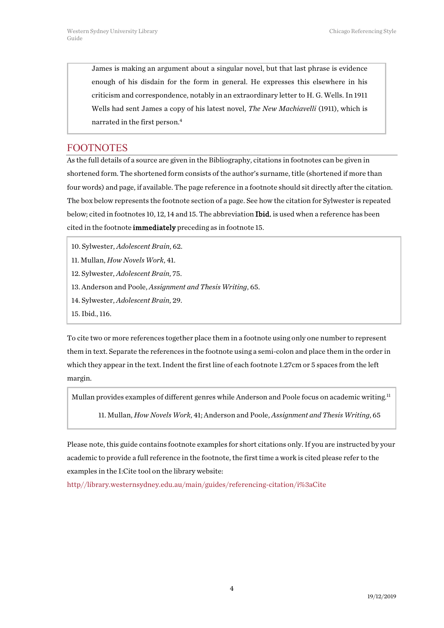James is making an argument about a singular novel, but that last phrase is evidence enough of his disdain for the form in general. He expresses this elsewhere in his criticism and correspondence, notably in an extraordinary letter to H. G. Wells. In 1911 Wells had sent James a copy of his latest novel, *The New Machiavelli* (1911), which is narrated in the first person.4

## <span id="page-3-0"></span>FOOTNOTES

As the full details of a source are given in the Bibliography, citations in footnotes can be given in shortened form. The shortened form consists of the author's surname, title (shortened if more than four words) and page, if available. The page reference in a footnote should sit directly after the citation. The box below represents the footnote section of a page. See how the citation for Sylwester is repeated below; cited in footnotes 10, 12, 14 and 15. The abbreviation Ibid. is used when a reference has been cited in the footnote immediately preceding as in footnote 15.

10. Sylwester, *Adolescent Brain*, 62.

- 11. Mullan, *How Novels Work*, 41.
- 12. Sylwester, *Adolescent Brain*, 75.
- 13. Anderson and Poole, *Assignment and Thesis Writing*, 65.
- 14. Sylwester, *Adolescent Brain*, 29.
- 15. Ibid., 116.

To cite two or more references together place them in a footnote using only one number to represent them in text. Separate the references in the footnote using a semi-colon and place them in the order in which they appear in the text. Indent the first line of each footnote 1.27cm or 5 spaces from the left margin.

Mullan provides examples of different genres while Anderson and Poole focus on academic writing.<sup>11</sup>

11. Mullan, *How Novels Work*, 41; Anderson and Poole, *Assignment and Thesis Writing*, 65

Please note, this guide contains footnote examples for short citations only. If you are instructed by your academic to provide a full reference in the footnote, the first time a work is cited please refer to the examples in the I:Cite tool on the library website:

[http//library.westernsydney.edu.au/main/guides/referencing-citation/i%3aCite](http://library.westernsydney.edu.au/main/guides/referencing-citation/i%3aCite)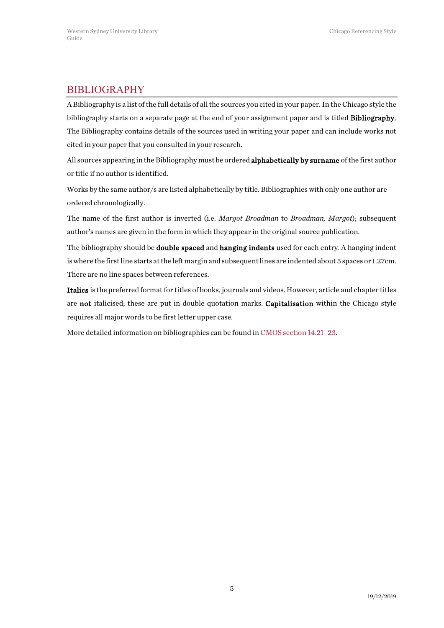# <span id="page-4-0"></span>**BIBLIOGRAPHY**

A Bibliography is a list of the full details of all the sources you cited in your paper. In the Chicago style the bibliography starts on a separate page at the end of your assignment paper and is titled Bibliography. The Bibliography contains details of the sources used in writing your paper and can include works not cited in your paper that you consulted in your research.

All sources appearing in the Bibliography must be ordered **alphabetically by surname** of the first author or title if no author is identified.

Works by the same author/s are listed alphabetically by title. Bibliographies with only one author are ordered chronologically.

The name of the first author is inverted (i.e. *Margot Broadman* to *Broadman, Margot*); subsequent author's names are given in the form in which they appear in the original source publication.

The bibliography should be **double spaced** and hanging indents used for each entry. A hanging indent is where the firstline starts at the left margin and subsequent lines are indented about 5 spaces or 1.27cm. There are no line spaces between references.

Italics is the preferred format for titles of books, journals and videos. However, article and chapter titles are not italicised; these are put in double quotation marks. Capitalisation within the Chicago style requires all major words to be first letter upper case.

More detailed information on bibliographies can be found i[n CMOS section](https://west-sydney-primo.hosted.exlibrisgroup.com/permalink/f/7rt3vo/UWS-ALMA21221239780001571) 14.21–23.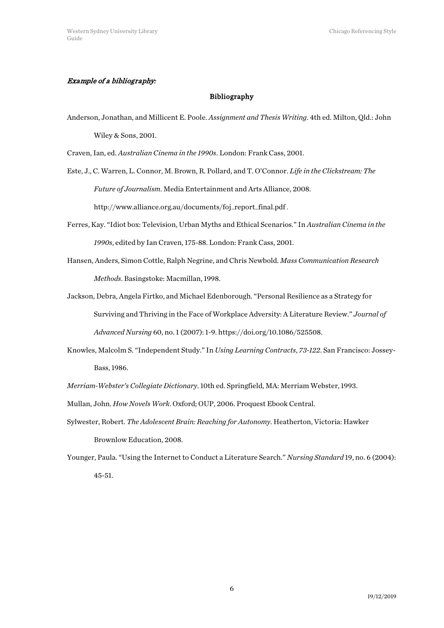#### Example of a bibliography:

#### Bibliography

Anderson, Jonathan, and Millicent E. Poole. *Assignment and Thesis Writing*. 4th ed. Milton, Qld.: John Wiley & Sons, 2001.

Craven, Ian, ed. *Australian Cinema in the 1990s*. London: Frank Cass, 2001.

- Este, J., C. Warren, L. Connor, M. Brown, R. Pollard, and T. O'Connor. *Life in the Clickstream: The Future of Journalism*. Media Entertainment and Arts Alliance, 2008. http://www.alliance.org.au/documents/foj\_report\_final.pdf .
- Ferres, Kay. "Idiot box: Television, Urban Myths and Ethical Scenarios." In *Australian Cinema in the 1990s*, edited by Ian Craven, 175-88. London: Frank Cass, 2001.
- Hansen, Anders, Simon Cottle, Ralph Negrine, and Chris Newbold. *Mass Communication Research Methods*. Basingstoke: Macmillan, 1998.
- Jackson, Debra, Angela Firtko, and Michael Edenborough. "Personal Resilience as a Strategy for Surviving and Thriving in the Face of Workplace Adversity: A Literature Review." *Journal of Advanced Nursing* 60, no. 1 (2007): 1-9. https://doi.org/10.1086/525508.
- Knowles, Malcolm S. "Independent Study." In *Using Learning Contracts*, *73-122*. San Francisco: Jossey-Bass, 1986.
- *Merriam-Webster's Collegiate Dictionary*. 10th ed. Springfield, MA: Merriam Webster, 1993.
- Mullan, John. *How Novels Work*. Oxford; OUP, 2006. Proquest Ebook Central.
- Sylwester, Robert. *The Adolescent Brain: Reaching for Autonomy*. Heatherton, Victoria: Hawker Brownlow Education, 2008.
- Younger, Paula. "Using the Internet to Conduct a Literature Search." *Nursing Standard* 19, no. 6 (2004): 45-51.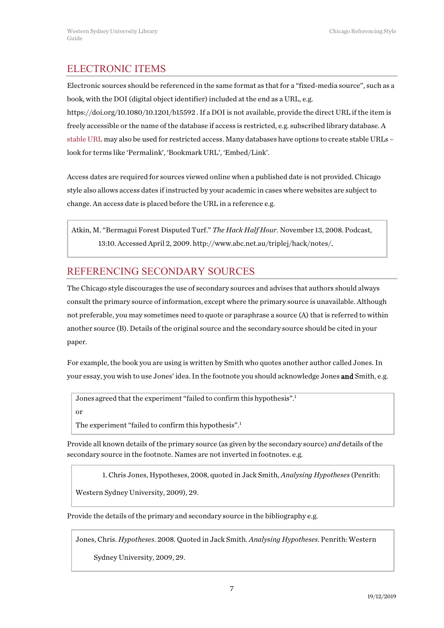# <span id="page-6-0"></span>ELECTRONIC ITEMS

Electronic sources should be referenced in the same format as that for a "fixed-media source", such as a book, with the DOI (digital object identifier) included at the end as a URL, e.g.

https://doi.org/10.1080/10.1201/b15592 . If a DOI is not available, provide the direct URL if the item is freely accessible or the name of the database if access is restricted, e.g. subscribed library database. A [stable URL](http://library.westernsydney.edu.au/main/guides/using-library-resources) may also be used for restricted access. Many databases have options to create stable URLs – look for terms like 'Permalink', 'Bookmark URL', 'Embed/Link'.

Access dates are required for sources viewed online when a published date is not provided. Chicago style also allows access dates if instructed by your academic in cases where websites are subject to change. An access date is placed before the URL in a reference e.g.

Atkin, M. "Bermagui Forest Disputed Turf." *The Hack Half Hour*. November 13, 2008. Podcast, 13:10. Accessed April 2, 2009. http://www.abc.net.au/triplej/hack/notes/.

# <span id="page-6-1"></span>REFERENCING SECONDARY SOURCES

The Chicago style discourages the use of secondary sources and advises that authors should always consult the primary source of information, except where the primary source is unavailable. Although not preferable, you may sometimes need to quote or paraphrase a source (A) that is referred to within another source (B). Details of the original source and the secondary source should be cited in your paper.

For example, the book you are using is written by Smith who quotes another author called Jones. In your essay, you wish to use Jones' idea. In the footnote you should acknowledge Jones and Smith, e.g.

Jones agreed that the experiment "failed to confirm this hypothesis".<sup>1</sup> or

The experiment "failed to confirm this hypothesis".<sup>1</sup>

Provide all known details of the primary source (as given by the secondary source) *and* details of the secondary source in the footnote. Names are not inverted in footnotes. e.g.

1. Chris Jones, Hypotheses, 2008, quoted in Jack Smith, *Analysing Hypotheses* (Penrith:

Western Sydney University, 2009), 29.

Provide the details of the primary and secondary source in the bibliography e.g.

Jones, Chris. *Hypotheses*. 2008. Quoted in Jack Smith. *Analysing Hypotheses*. Penrith: Western

Sydney University, 2009, 29.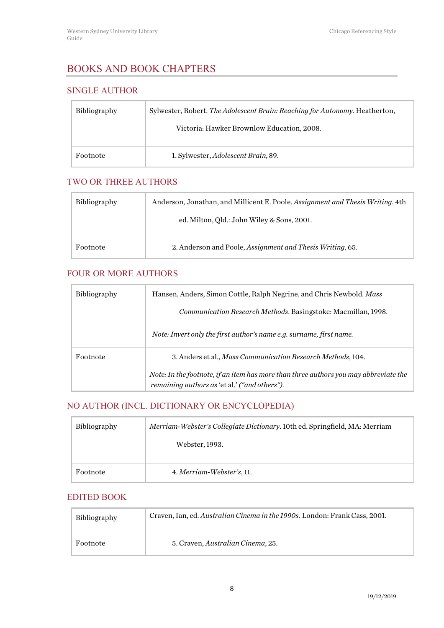# <span id="page-7-0"></span>BOOKS AND BOOK CHAPTERS

### <span id="page-7-1"></span>SINGLE AUTHOR

| Bibliography | Sylwester, Robert. The Adolescent Brain: Reaching for Autonomy. Heatherton, |
|--------------|-----------------------------------------------------------------------------|
|              | Victoria: Hawker Brownlow Education, 2008.                                  |
| Footnote     | 1. Sylwester, Adolescent Brain, 89.                                         |

## <span id="page-7-2"></span>TWO OR THREE AUTHORS

| <b>Bibliography</b> | Anderson, Jonathan, and Millicent E. Poole. Assignment and Thesis Writing. 4th |
|---------------------|--------------------------------------------------------------------------------|
|                     | ed. Milton, Qld.: John Wiley & Sons, 2001.                                     |
| Footnote            | 2. Anderson and Poole, Assignment and Thesis Writing, 65.                      |

## <span id="page-7-3"></span>FOUR OR MORE AUTHORS

| <b>Bibliography</b> | Hansen, Anders, Simon Cottle, Ralph Negrine, and Chris Newbold. Mass                                                                  |
|---------------------|---------------------------------------------------------------------------------------------------------------------------------------|
|                     | Communication Research Methods. Basingstoke: Macmillan, 1998.                                                                         |
|                     | Note: Invert only the first author's name e.g. surname, first name.                                                                   |
| Footnote            | 3. Anders et al., Mass Communication Research Methods, 104.                                                                           |
|                     | Note: In the footnote, if an item has more than three authors you may abbreviate the<br>remaining authors as 'et al.' ("and others"). |

# <span id="page-7-4"></span>NO AUTHOR (INCL. DICTIONARY OR ENCYCLOPEDIA)

| Bibliography | Merriam-Webster's Collegiate Dictionary. 10th ed. Springfield, MA: Merriam |
|--------------|----------------------------------------------------------------------------|
|              | Webster, 1993.                                                             |
|              |                                                                            |
| Footnote     | 4. Merriam-Webster's, 11.                                                  |

#### <span id="page-7-5"></span>EDITED BOOK

| <b>Bibliography</b> | Craven, Ian, ed. Australian Cinema in the 1990s. London: Frank Cass, 2001. |
|---------------------|----------------------------------------------------------------------------|
| Footnote            | 5. Craven, Australian Cinema, 25.                                          |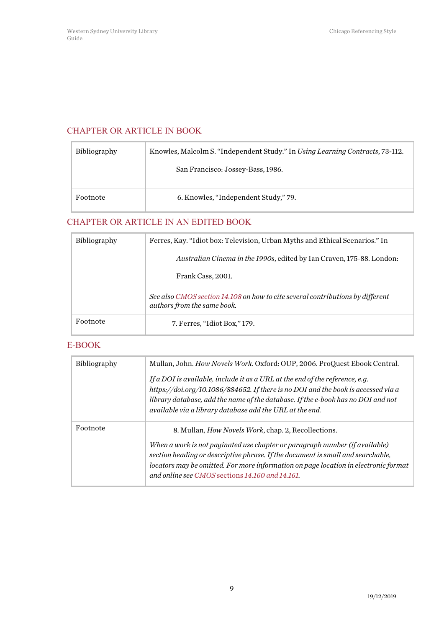### <span id="page-8-0"></span>CHAPTER OR ARTICLE IN BOOK

| <b>Bibliography</b> | Knowles, Malcolm S. "Independent Study." In Using Learning Contracts, 73-112. |
|---------------------|-------------------------------------------------------------------------------|
|                     | San Francisco: Jossey-Bass, 1986.                                             |
| Footnote            | 6. Knowles, "Independent Study," 79.                                          |

# <span id="page-8-1"></span>CHAPTER OR ARTICLE IN AN EDITED BOOK

| <b>Bibliography</b> | Ferres, Kay. "Idiot box: Television, Urban Myths and Ethical Scenarios." In                                   |
|---------------------|---------------------------------------------------------------------------------------------------------------|
|                     | <i>Australian Cinema in the 1990s, edited by Ian Craven, 175-88. London:</i>                                  |
|                     | Frank Cass, 2001.                                                                                             |
|                     | See also CMOS section 14.108 on how to cite several contributions by different<br>authors from the same book. |
| Footnote            | 7. Ferres, "Idiot Box," 179.                                                                                  |

#### <span id="page-8-2"></span>E-BOOK

| <b>Bibliography</b> | Mullan, John. How Novels Work. Oxford: OUP, 2006. ProQuest Ebook Central.<br>If a DOI is available, include it as a URL at the end of the reference, e.g.<br>https://doi.org/10.1086/884652. If there is no DOI and the book is accessed via a                                                                                                                          |
|---------------------|-------------------------------------------------------------------------------------------------------------------------------------------------------------------------------------------------------------------------------------------------------------------------------------------------------------------------------------------------------------------------|
|                     | library database, add the name of the database. If the e-book has no DOI and not<br>available via a library database add the URL at the end.                                                                                                                                                                                                                            |
| Footnote            | 8. Mullan, <i>How Novels Work</i> , chap. 2, Recollections.<br>When a work is not paginated use chapter or paragraph number (if available)<br>section heading or descriptive phrase. If the document is small and searchable,<br>locators may be omitted. For more information on page location in electronic format<br>and online see CMOS sections 14.160 and 14.161. |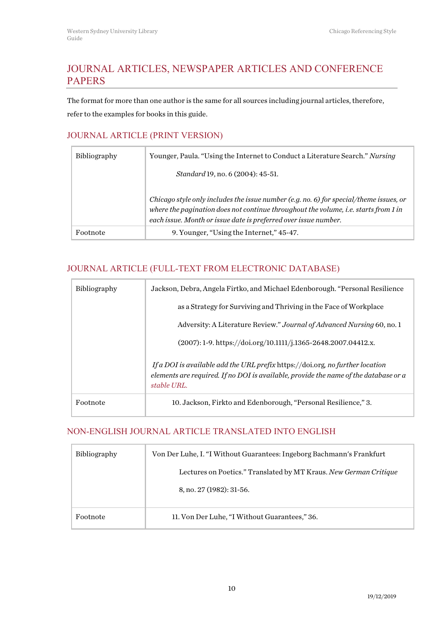# <span id="page-9-0"></span>JOURNAL ARTICLES, NEWSPAPER ARTICLES AND CONFERENCE PAPERS

The format for more than one author is the same for all sources including journal articles, therefore, refer to the examples for books in this guide.

## <span id="page-9-1"></span>JOURNAL ARTICLE (PRINT VERSION)

| <b>Bibliography</b> | Younger, Paula. "Using the Internet to Conduct a Literature Search." Nursing                                                                                                                                                                     |
|---------------------|--------------------------------------------------------------------------------------------------------------------------------------------------------------------------------------------------------------------------------------------------|
|                     | <i>Standard</i> 19, no. 6 (2004): 45-51.                                                                                                                                                                                                         |
|                     | Chicago style only includes the issue number (e.g. no. 6) for special/theme issues, or<br>where the pagination does not continue throughout the volume, i.e. starts from 1 in<br>each issue. Month or issue date is preferred over issue number. |
|                     |                                                                                                                                                                                                                                                  |
| Footnote            | 9. Younger, "Using the Internet," 45-47.                                                                                                                                                                                                         |

# <span id="page-9-2"></span>JOURNAL ARTICLE (FULL-TEXT FROM ELECTRONIC DATABASE)

| <b>Bibliography</b> | Jackson, Debra, Angela Firtko, and Michael Edenborough. "Personal Resilience                                                                                                         |
|---------------------|--------------------------------------------------------------------------------------------------------------------------------------------------------------------------------------|
|                     | as a Strategy for Surviving and Thriving in the Face of Workplace                                                                                                                    |
|                     | Adversity: A Literature Review." Journal of Advanced Nursing 60, no. 1                                                                                                               |
|                     | $(2007): 1-9.$ https://doi.org/10.1111/j.1365-2648.2007.04412.x.                                                                                                                     |
|                     | If a DOI is available add the URL prefix https://doi.org. no further location<br>elements are required. If no DOI is available, provide the name of the database or a<br>stable URL. |
| Footnote            | 10. Jackson, Firkto and Edenborough, "Personal Resilience," 3.                                                                                                                       |

## <span id="page-9-3"></span>NON-ENGLISH JOURNAL ARTICLE TRANSLATED INTO ENGLISH

| <b>Bibliography</b> | Von Der Luhe, I. "I Without Guarantees: Ingeborg Bachmann's Frankfurt |
|---------------------|-----------------------------------------------------------------------|
|                     | Lectures on Poetics." Translated by MT Kraus. New German Critique     |
|                     | 8, no. 27 (1982): 31-56.                                              |
| Footnote            | 11. Von Der Luhe, "I Without Guarantees," 36.                         |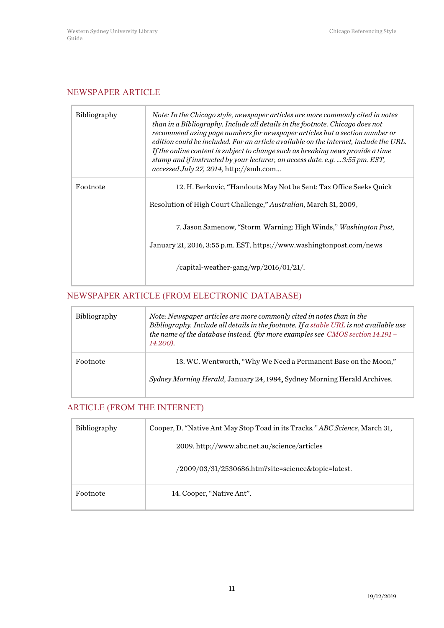#### <span id="page-10-0"></span>NEWSPAPER ARTICLE

| <b>Bibliography</b> | Note: In the Chicago style, newspaper articles are more commonly cited in notes<br>than in a Bibliography. Include all details in the footnote. Chicago does not<br>recommend using page numbers for newspaper articles but a section number or<br>edition could be included. For an article available on the internet, include the URL.<br>If the online content is subject to change such as breaking news provide a time<br>stamp and if instructed by your lecturer, an access date. e.g.  3:55 pm. EST,<br><i>accessed July 27, 2014, http://smh.com</i> |
|---------------------|---------------------------------------------------------------------------------------------------------------------------------------------------------------------------------------------------------------------------------------------------------------------------------------------------------------------------------------------------------------------------------------------------------------------------------------------------------------------------------------------------------------------------------------------------------------|
| Footnote            | 12. H. Berkovic, "Handouts May Not be Sent: Tax Office Seeks Quick                                                                                                                                                                                                                                                                                                                                                                                                                                                                                            |
|                     | Resolution of High Court Challenge," Australian, March 31, 2009.                                                                                                                                                                                                                                                                                                                                                                                                                                                                                              |
|                     | 7. Jason Samenow, "Storm Warning: High Winds," <i>Washington Post</i> ,                                                                                                                                                                                                                                                                                                                                                                                                                                                                                       |
|                     | January 21, 2016, 3:55 p.m. EST, https://www.washingtonpost.com/news                                                                                                                                                                                                                                                                                                                                                                                                                                                                                          |
|                     | /capital-weather-gang/wp/2016/01/21/.                                                                                                                                                                                                                                                                                                                                                                                                                                                                                                                         |

#### <span id="page-10-1"></span>NEWSPAPER ARTICLE (FROM ELECTRONIC DATABASE)

| <b>Bibliography</b> | Note: Newspaper articles are more commonly cited in notes than in the<br>Bibliography. Include all details in the footnote. If a stable URL is not available use<br>the name of the database instead. (for more examples see CMOS section 14.191 -<br>14.200). |
|---------------------|----------------------------------------------------------------------------------------------------------------------------------------------------------------------------------------------------------------------------------------------------------------|
| Footnote            | 13. WC. Wentworth, "Why We Need a Permanent Base on the Moon,"<br>Sydney Morning Herald, January 24, 1984, Sydney Morning Herald Archives.                                                                                                                     |

## <span id="page-10-2"></span>ARTICLE (FROM THE INTERNET)

| <b>Bibliography</b> | Cooper, D. "Native Ant May Stop Toad in its Tracks." ABC Science, March 31, |
|---------------------|-----------------------------------------------------------------------------|
|                     | 2009. http://www.abc.net.au/science/articles                                |
|                     | $/2009/03/31/2530686$ .htm?site=science&topic=latest.                       |
| Footnote            | 14. Cooper, "Native Ant".                                                   |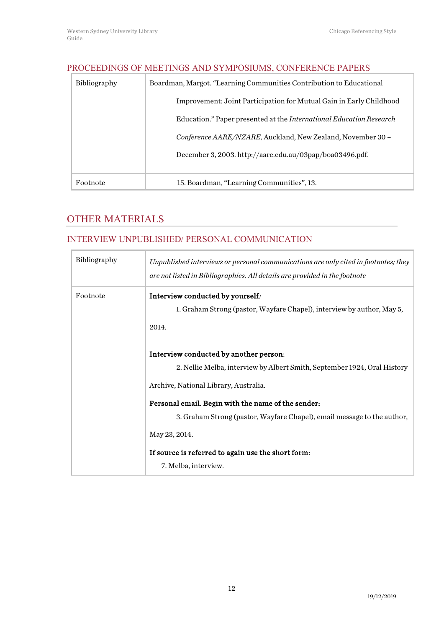# <span id="page-11-0"></span>PROCEEDINGS OF MEETINGS AND SYMPOSIUMS, CONFERENCE PAPERS Bibliography Boardman, Margot. "Learning Communities Contribution to Educational Improvement: Joint Participation for Mutual Gain in Early Childhood Education." Paper presented at the *International Education Research Conference AARE/NZARE*, Auckland, New Zealand, November 30 – December 3, 2003. http://aare.edu.au/03pap/boa03496.pdf. Footnote 15. Boardman, "Learning Communities", 13.

# <span id="page-11-1"></span>OTHER MATERIALS

### <span id="page-11-2"></span>INTERVIEW UNPUBLISHED/ PERSONAL COMMUNICATION

| Bibliography | Unpublished interviews or personal communications are only cited in footnotes; they<br>are not listed in Bibliographies. All details are provided in the footnote |
|--------------|-------------------------------------------------------------------------------------------------------------------------------------------------------------------|
| Footnote     | Interview conducted by yourself.                                                                                                                                  |
|              | 1. Graham Strong (pastor, Wayfare Chapel), interview by author, May 5,                                                                                            |
|              | 2014.                                                                                                                                                             |
|              | Interview conducted by another person:                                                                                                                            |
|              | 2. Nellie Melba, interview by Albert Smith, September 1924, Oral History                                                                                          |
|              | Archive, National Library, Australia.                                                                                                                             |
|              | Personal email. Begin with the name of the sender:                                                                                                                |
|              | 3. Graham Strong (pastor, Wayfare Chapel), email message to the author,                                                                                           |
|              | May 23, 2014.                                                                                                                                                     |
|              | If source is referred to again use the short form:                                                                                                                |
|              | 7. Melba, interview.                                                                                                                                              |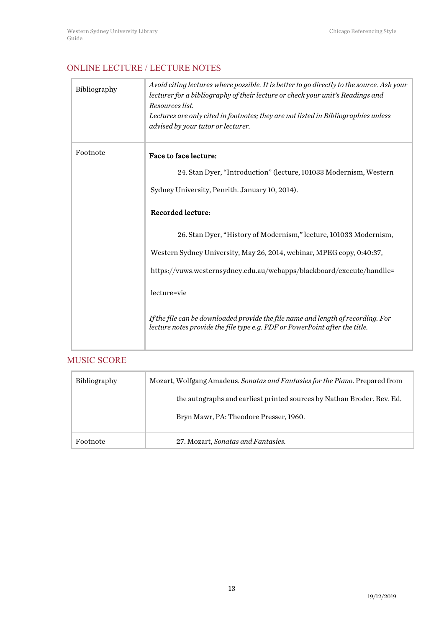# <span id="page-12-0"></span>ONLINE LECTURE / LECTURE NOTES

| Bibliography | Avoid citing lectures where possible. It is better to go directly to the source. Ask your<br>lecturer for a bibliography of their lecture or check your unit's Readings and<br>Resources list.<br>Lectures are only cited in footnotes; they are not listed in Bibliographies unless<br>advised by your tutor or lecturer.                                                                                     |
|--------------|----------------------------------------------------------------------------------------------------------------------------------------------------------------------------------------------------------------------------------------------------------------------------------------------------------------------------------------------------------------------------------------------------------------|
| Footnote     | Face to face lecture:<br>24. Stan Dyer, "Introduction" (lecture, 101033 Modernism, Western<br>Sydney University, Penrith. January 10, 2014).<br><b>Recorded lecture:</b><br>26. Stan Dyer, "History of Modernism," lecture, 101033 Modernism,<br>Western Sydney University, May 26, 2014, webinar, MPEG copy, 0:40:37,<br>https://vuws.westernsydney.edu.au/webapps/blackboard/execute/handlle=<br>lecture=vie |
|              | If the file can be downloaded provide the file name and length of recording. For<br>lecture notes provide the file type e.g. PDF or PowerPoint after the title.                                                                                                                                                                                                                                                |

### <span id="page-12-1"></span>MUSIC SCORE

| <b>Bibliography</b> | Mozart, Wolfgang Amadeus. Sonatas and Fantasies for the Piano. Prepared from |
|---------------------|------------------------------------------------------------------------------|
|                     | the autographs and earliest printed sources by Nathan Broder, Rev. Ed.       |
|                     | Bryn Mawr, PA: Theodore Presser, 1960.                                       |
| Footnote            | 27. Mozart, Sonatas and Fantasies.                                           |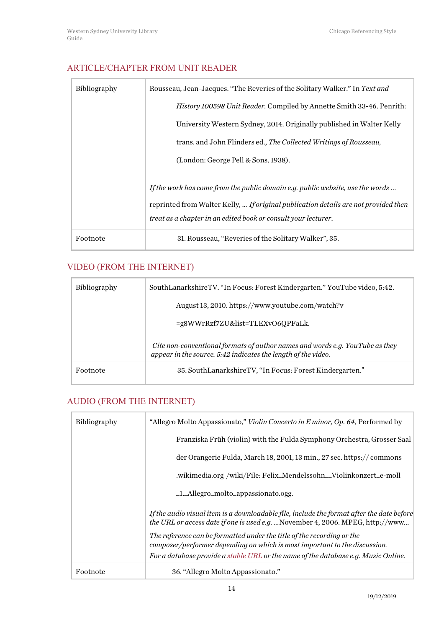## <span id="page-13-0"></span>ARTICLE/CHAPTER FROM UNIT READER

| Bibliography | Rousseau, Jean-Jacques. "The Reveries of the Solitary Walker." In Text and                                                                                                                                                              |
|--------------|-----------------------------------------------------------------------------------------------------------------------------------------------------------------------------------------------------------------------------------------|
|              | <i>History 100598 Unit Reader.</i> Compiled by Annette Smith 33-46. Penrith:                                                                                                                                                            |
|              | University Western Sydney, 2014. Originally published in Walter Kelly                                                                                                                                                                   |
|              | trans. and John Flinders ed., The Collected Writings of Rousseau,                                                                                                                                                                       |
|              | (London: George Pell & Sons, 1938).                                                                                                                                                                                                     |
|              | If the work has come from the public domain e.g. public website, use the words<br>reprinted from Walter Kelly,  If original publication details are not provided then<br>treat as a chapter in an edited book or consult your lecturer. |
| Footnote     | 31. Rousseau, "Reveries of the Solitary Walker", 35.                                                                                                                                                                                    |

## <span id="page-13-1"></span>VIDEO (FROM THE INTERNET)

| <b>Bibliography</b> | SouthLanarkshireTV. "In Focus: Forest Kindergarten." YouTube video, 5:42.                                                                     |
|---------------------|-----------------------------------------------------------------------------------------------------------------------------------------------|
|                     | August 13, 2010. https://www.youtube.com/watch?v                                                                                              |
|                     | $=$ g8WWrRzf7ZU&list=TLEXvO6QPFaLk.                                                                                                           |
|                     | Cite non-conventional formats of author names and words e.g. YouTube as they<br>appear in the source. 5:42 indicates the length of the video. |
| Footnote            | 35. SouthLanarkshireTV, "In Focus: Forest Kindergarten."                                                                                      |

## <span id="page-13-2"></span>AUDIO (FROM THE INTERNET)

| <b>Bibliography</b> | "Allegro Molto Appassionato," <i>Violin Concerto in E minor, Op. 64.</i> Performed by                                                                                       |
|---------------------|-----------------------------------------------------------------------------------------------------------------------------------------------------------------------------|
|                     | Franziska Früh (violin) with the Fulda Symphony Orchestra, Grosser Saal                                                                                                     |
|                     | der Orangerie Fulda, March 18, 2001, 13 min., 27 sec. https://commons                                                                                                       |
|                     | .wikimedia.org /wiki/File: Felix_Mendelssohn_Violinkonzert_e-moll                                                                                                           |
|                     | _1._Allegro_molto_appassionato.ogg.                                                                                                                                         |
|                     | If the audio visual item is a downloadable file, include the format after the date before<br>the URL or access date if one is used e.g.  November 4, 2006. MPEG, http://www |
|                     | The reference can be formatted under the title of the recording or the<br>composer/performer depending on which is most important to the discussion.                        |
|                     | For a database provide a stable URL or the name of the database e.g. Music Online.                                                                                          |
| Footnote            | 36. "Allegro Molto Appassionato."                                                                                                                                           |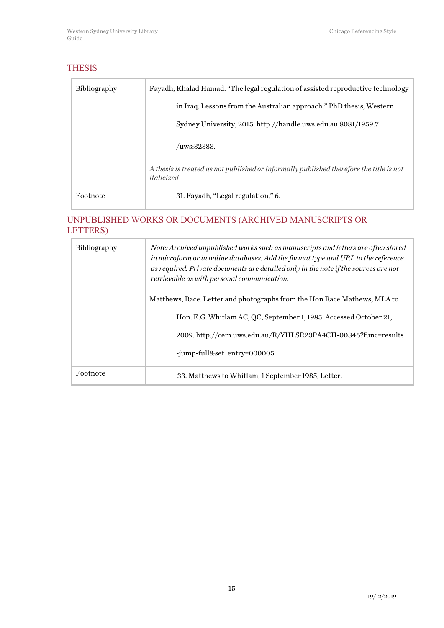# <span id="page-14-0"></span>THESIS

| <b>Bibliography</b> | Fayadh, Khalad Hamad. "The legal regulation of assisted reproductive technology                       |
|---------------------|-------------------------------------------------------------------------------------------------------|
|                     | in Iraq: Lessons from the Australian approach." PhD thesis, Western                                   |
|                     | Sydney University, 2015. http://handle.uws.edu.au:8081/1959.7                                         |
|                     | $/$ uws:32383.                                                                                        |
|                     | A thesis is treated as not published or informally published therefore the title is not<br>italicized |
| Footnote            | 31. Fayadh, "Legal regulation," 6.                                                                    |

### <span id="page-14-1"></span>UNPUBLISHED WORKS OR DOCUMENTS (ARCHIVED MANUSCRIPTS OR LETTERS)

| <b>Bibliography</b> | Note: Archived unpublished works such as manuscripts and letters are often stored<br>in microform or in online databases. Add the format type and URL to the reference<br>as required. Private documents are detailed only in the note if the sources are not<br>retrievable as with personal communication. |
|---------------------|--------------------------------------------------------------------------------------------------------------------------------------------------------------------------------------------------------------------------------------------------------------------------------------------------------------|
|                     | Matthews, Race. Letter and photographs from the Hon Race Mathews, MLA to                                                                                                                                                                                                                                     |
|                     | Hon. E.G. Whitlam AC, QC, September 1, 1985. Accessed October 21,                                                                                                                                                                                                                                            |
|                     | 2009. http://cem.uws.edu.au/R/YHLSR23PA4CH-00346?func=results                                                                                                                                                                                                                                                |
|                     | -jump-full&set_entry=000005.                                                                                                                                                                                                                                                                                 |
| Footnote            | 33. Matthews to Whitlam, 1 September 1985, Letter.                                                                                                                                                                                                                                                           |